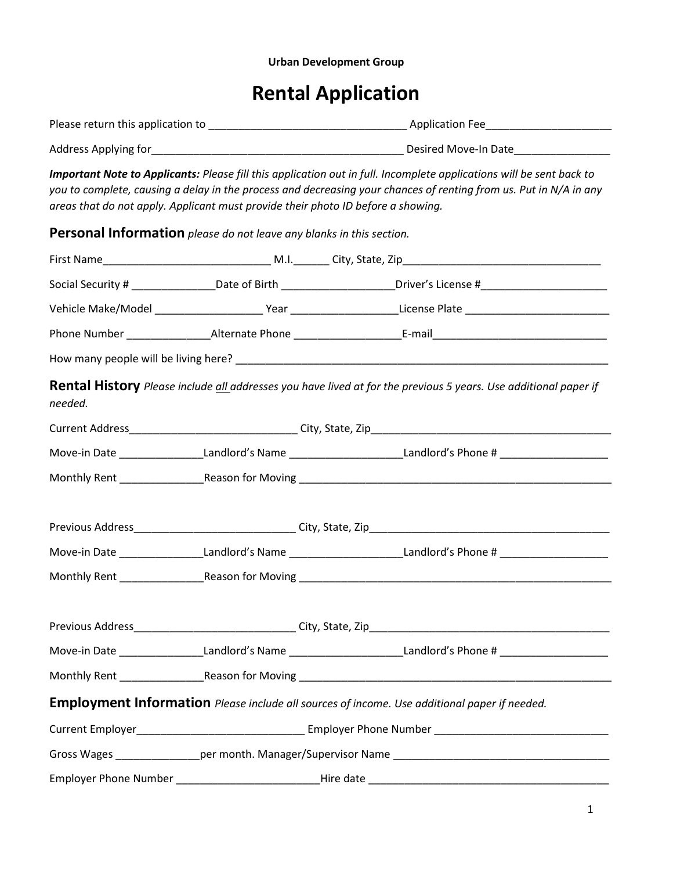## Urban Development Group

## Rental Application

| areas that do not apply. Applicant must provide their photo ID before a showing. |  | Important Note to Applicants: Please fill this application out in full. Incomplete applications will be sent back to<br>you to complete, causing a delay in the process and decreasing your chances of renting from us. Put in N/A in any |  |  |  |
|----------------------------------------------------------------------------------|--|-------------------------------------------------------------------------------------------------------------------------------------------------------------------------------------------------------------------------------------------|--|--|--|
| Personal Information please do not leave any blanks in this section.             |  |                                                                                                                                                                                                                                           |  |  |  |
|                                                                                  |  |                                                                                                                                                                                                                                           |  |  |  |
|                                                                                  |  | Social Security # __________________Date of Birth _______________________Driver's License #___________________                                                                                                                            |  |  |  |
|                                                                                  |  | Vehicle Make/Model _________________________Year ______________________License Plate _________________________                                                                                                                            |  |  |  |
|                                                                                  |  |                                                                                                                                                                                                                                           |  |  |  |
|                                                                                  |  |                                                                                                                                                                                                                                           |  |  |  |
| needed.                                                                          |  | <b>Rental History</b> Please include all addresses you have lived at for the previous 5 years. Use additional paper if                                                                                                                    |  |  |  |
|                                                                                  |  |                                                                                                                                                                                                                                           |  |  |  |
|                                                                                  |  | Move-in Date ___________________Landlord's Name __________________________Landlord's Phone # _________________                                                                                                                            |  |  |  |
|                                                                                  |  |                                                                                                                                                                                                                                           |  |  |  |
|                                                                                  |  |                                                                                                                                                                                                                                           |  |  |  |
|                                                                                  |  | Move-in Date ____________________Landlord's Name __________________________Landlord's Phone # ________________                                                                                                                            |  |  |  |
|                                                                                  |  |                                                                                                                                                                                                                                           |  |  |  |
|                                                                                  |  |                                                                                                                                                                                                                                           |  |  |  |
|                                                                                  |  | Move-in Date ____________________Landlord's Name __________________________Landlord's Phone # ________________                                                                                                                            |  |  |  |
|                                                                                  |  |                                                                                                                                                                                                                                           |  |  |  |
|                                                                                  |  | Employment Information Please include all sources of income. Use additional paper if needed.                                                                                                                                              |  |  |  |
|                                                                                  |  |                                                                                                                                                                                                                                           |  |  |  |
|                                                                                  |  |                                                                                                                                                                                                                                           |  |  |  |
|                                                                                  |  |                                                                                                                                                                                                                                           |  |  |  |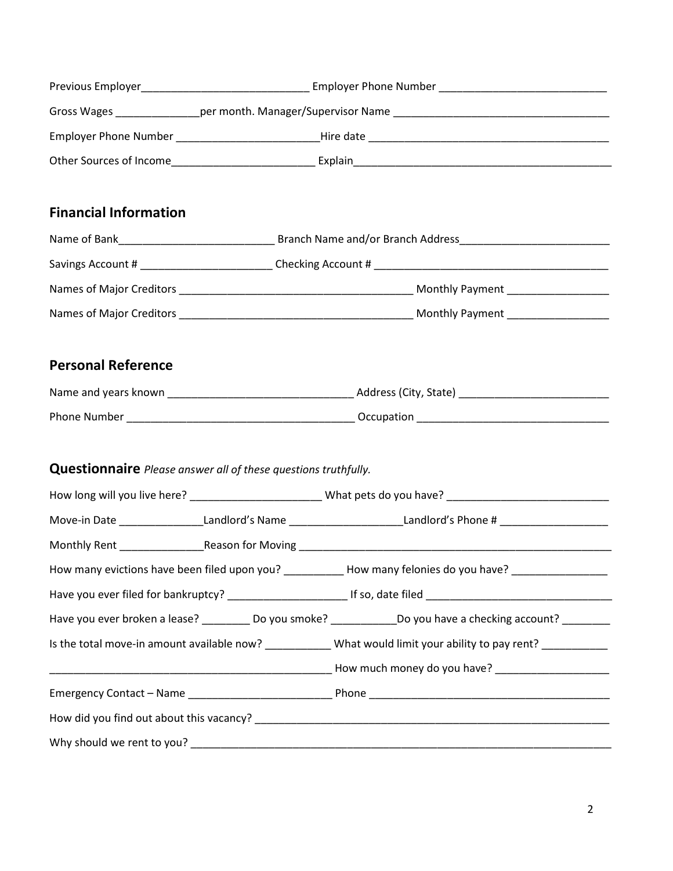| <b>Financial Information</b>                                          |                                                                                                                |                                                                                                                 |  |  |  |
|-----------------------------------------------------------------------|----------------------------------------------------------------------------------------------------------------|-----------------------------------------------------------------------------------------------------------------|--|--|--|
|                                                                       |                                                                                                                |                                                                                                                 |  |  |  |
|                                                                       |                                                                                                                |                                                                                                                 |  |  |  |
|                                                                       |                                                                                                                |                                                                                                                 |  |  |  |
|                                                                       |                                                                                                                |                                                                                                                 |  |  |  |
| <b>Personal Reference</b>                                             |                                                                                                                |                                                                                                                 |  |  |  |
|                                                                       |                                                                                                                |                                                                                                                 |  |  |  |
|                                                                       |                                                                                                                |                                                                                                                 |  |  |  |
|                                                                       |                                                                                                                |                                                                                                                 |  |  |  |
| <b>Questionnaire</b> Please answer all of these questions truthfully. |                                                                                                                |                                                                                                                 |  |  |  |
|                                                                       | How long will you live here? ___________________________What pets do you have? _______________________________ |                                                                                                                 |  |  |  |
|                                                                       |                                                                                                                | Move-in Date ___________________Landlord's Name _________________________Landlord's Phone # __________________  |  |  |  |
|                                                                       |                                                                                                                |                                                                                                                 |  |  |  |
|                                                                       |                                                                                                                | How many evictions have been filed upon you? ____________ How many felonies do you have? _________________      |  |  |  |
|                                                                       |                                                                                                                |                                                                                                                 |  |  |  |
|                                                                       |                                                                                                                | Have you ever broken a lease? ___________ Do you smoke? _______________Do you have a checking account? ________ |  |  |  |
|                                                                       |                                                                                                                | Is the total move-in amount available now? ____________What would limit your ability to pay rent? ___________   |  |  |  |
|                                                                       |                                                                                                                |                                                                                                                 |  |  |  |
|                                                                       |                                                                                                                |                                                                                                                 |  |  |  |
|                                                                       |                                                                                                                |                                                                                                                 |  |  |  |
|                                                                       |                                                                                                                |                                                                                                                 |  |  |  |